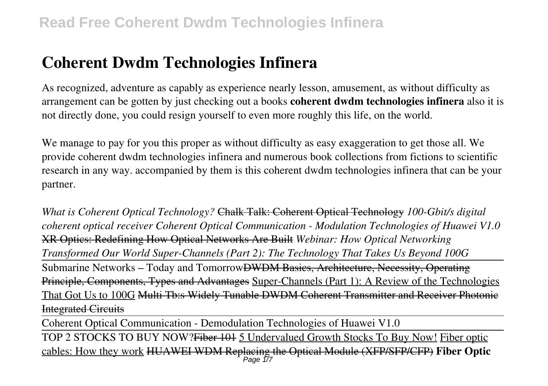# **Coherent Dwdm Technologies Infinera**

As recognized, adventure as capably as experience nearly lesson, amusement, as without difficulty as arrangement can be gotten by just checking out a books **coherent dwdm technologies infinera** also it is not directly done, you could resign yourself to even more roughly this life, on the world.

We manage to pay for you this proper as without difficulty as easy exaggeration to get those all. We provide coherent dwdm technologies infinera and numerous book collections from fictions to scientific research in any way. accompanied by them is this coherent dwdm technologies infinera that can be your partner.

*What is Coherent Optical Technology?* Chalk Talk: Coherent Optical Technology *100-Gbit/s digital coherent optical receiver Coherent Optical Communication - Modulation Technologies of Huawei V1.0* XR Optics: Redefining How Optical Networks Are Built *Webinar: How Optical Networking Transformed Our World Super-Channels (Part 2): The Technology That Takes Us Beyond 100G* Submarine Networks – Today and TomorrowDWDM Basics, Architecture, Necessity, Operating Principle, Components, Types and Advantages Super-Channels (Part 1): A Review of the Technologies That Got Us to 100G Multi Tb:s Widely Tunable DWDM Coherent Transmitter and Receiver Photonic Integrated Circuits

Coherent Optical Communication - Demodulation Technologies of Huawei V1.0

TOP 2 STOCKS TO BUY NOW?<del>Fiber 101</del> 5 Undervalued Growth Stocks To Buy Now! Fiber optic cables: How they work HUAWEI WDM Replacing the Optical Module (XFP/SFP/CFP) **Fiber Optic** Page 1/7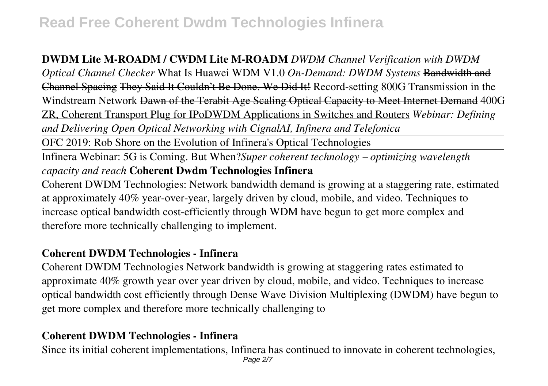## **DWDM Lite M-ROADM / CWDM Lite M-ROADM** *DWDM Channel Verification with DWDM*

*Optical Channel Checker* What Is Huawei WDM V1.0 *On-Demand: DWDM Systems* Bandwidth and Channel Spacing They Said It Couldn't Be Done. We Did It! Record-setting 800G Transmission in the Windstream Network Dawn of the Terabit Age Scaling Optical Capacity to Meet Internet Demand 400G ZR, Coherent Transport Plug for IPoDWDM Applications in Switches and Routers *Webinar: Defining and Delivering Open Optical Networking with CignalAI, Infinera and Telefonica*

OFC 2019: Rob Shore on the Evolution of Infinera's Optical Technologies

Infinera Webinar: 5G is Coming. But When?*Super coherent technology – optimizing wavelength capacity and reach* **Coherent Dwdm Technologies Infinera**

Coherent DWDM Technologies: Network bandwidth demand is growing at a staggering rate, estimated at approximately 40% year-over-year, largely driven by cloud, mobile, and video. Techniques to increase optical bandwidth cost-efficiently through WDM have begun to get more complex and therefore more technically challenging to implement.

## **Coherent DWDM Technologies - Infinera**

Coherent DWDM Technologies Network bandwidth is growing at staggering rates estimated to approximate 40% growth year over year driven by cloud, mobile, and video. Techniques to increase optical bandwidth cost efficiently through Dense Wave Division Multiplexing (DWDM) have begun to get more complex and therefore more technically challenging to

## **Coherent DWDM Technologies - Infinera**

Since its initial coherent implementations, Infinera has continued to innovate in coherent technologies, Page 2/7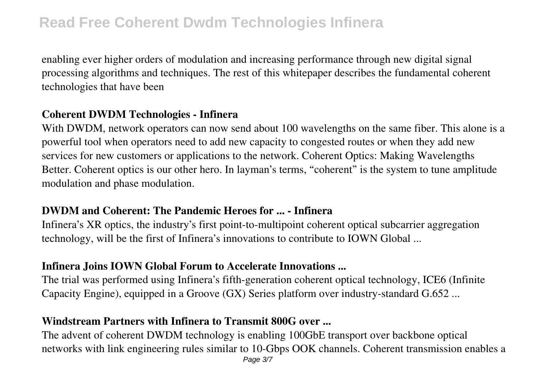enabling ever higher orders of modulation and increasing performance through new digital signal processing algorithms and techniques. The rest of this whitepaper describes the fundamental coherent technologies that have been

### **Coherent DWDM Technologies - Infinera**

With DWDM, network operators can now send about 100 wavelengths on the same fiber. This alone is a powerful tool when operators need to add new capacity to congested routes or when they add new services for new customers or applications to the network. Coherent Optics: Making Wavelengths Better. Coherent optics is our other hero. In layman's terms, "coherent" is the system to tune amplitude modulation and phase modulation.

#### **DWDM and Coherent: The Pandemic Heroes for ... - Infinera**

Infinera's XR optics, the industry's first point-to-multipoint coherent optical subcarrier aggregation technology, will be the first of Infinera's innovations to contribute to IOWN Global ...

## **Infinera Joins IOWN Global Forum to Accelerate Innovations ...**

The trial was performed using Infinera's fifth-generation coherent optical technology, ICE6 (Infinite Capacity Engine), equipped in a Groove (GX) Series platform over industry-standard G.652 ...

## **Windstream Partners with Infinera to Transmit 800G over ...**

The advent of coherent DWDM technology is enabling 100GbE transport over backbone optical networks with link engineering rules similar to 10-Gbps OOK channels. Coherent transmission enables a Page 3/7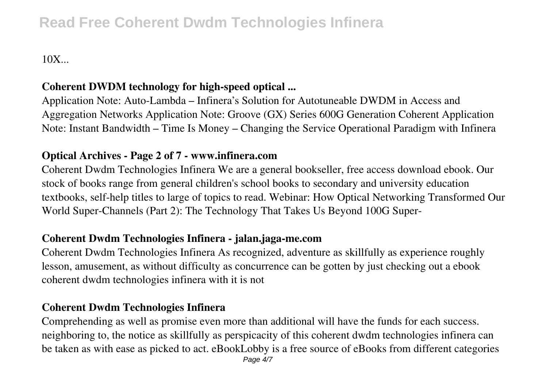$10X$ ...

## **Coherent DWDM technology for high-speed optical ...**

Application Note: Auto-Lambda – Infinera's Solution for Autotuneable DWDM in Access and Aggregation Networks Application Note: Groove (GX) Series 600G Generation Coherent Application Note: Instant Bandwidth – Time Is Money – Changing the Service Operational Paradigm with Infinera

### **Optical Archives - Page 2 of 7 - www.infinera.com**

Coherent Dwdm Technologies Infinera We are a general bookseller, free access download ebook. Our stock of books range from general children's school books to secondary and university education textbooks, self-help titles to large of topics to read. Webinar: How Optical Networking Transformed Our World Super-Channels (Part 2): The Technology That Takes Us Beyond 100G Super-

## **Coherent Dwdm Technologies Infinera - jalan.jaga-me.com**

Coherent Dwdm Technologies Infinera As recognized, adventure as skillfully as experience roughly lesson, amusement, as without difficulty as concurrence can be gotten by just checking out a ebook coherent dwdm technologies infinera with it is not

## **Coherent Dwdm Technologies Infinera**

Comprehending as well as promise even more than additional will have the funds for each success. neighboring to, the notice as skillfully as perspicacity of this coherent dwdm technologies infinera can be taken as with ease as picked to act. eBookLobby is a free source of eBooks from different categories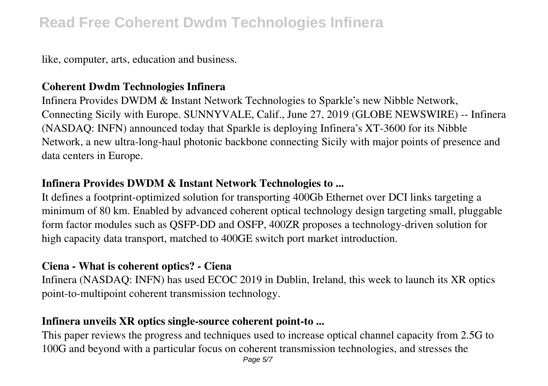like, computer, arts, education and business.

#### **Coherent Dwdm Technologies Infinera**

Infinera Provides DWDM & Instant Network Technologies to Sparkle's new Nibble Network, Connecting Sicily with Europe. SUNNYVALE, Calif., June 27, 2019 (GLOBE NEWSWIRE) -- Infinera (NASDAQ: INFN) announced today that Sparkle is deploying Infinera's XT-3600 for its Nibble Network, a new ultra-long-haul photonic backbone connecting Sicily with major points of presence and data centers in Europe.

### **Infinera Provides DWDM & Instant Network Technologies to ...**

It defines a footprint-optimized solution for transporting 400Gb Ethernet over DCI links targeting a minimum of 80 km. Enabled by advanced coherent optical technology design targeting small, pluggable form factor modules such as QSFP-DD and OSFP, 400ZR proposes a technology-driven solution for high capacity data transport, matched to 400GE switch port market introduction.

### **Ciena - What is coherent optics? - Ciena**

Infinera (NASDAQ: INFN) has used ECOC 2019 in Dublin, Ireland, this week to launch its XR optics point-to-multipoint coherent transmission technology.

### **Infinera unveils XR optics single-source coherent point-to ...**

This paper reviews the progress and techniques used to increase optical channel capacity from 2.5G to 100G and beyond with a particular focus on coherent transmission technologies, and stresses the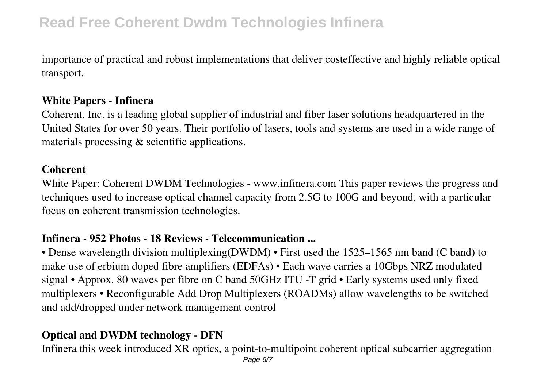importance of practical and robust implementations that deliver costeffective and highly reliable optical transport.

#### **White Papers - Infinera**

Coherent, Inc. is a leading global supplier of industrial and fiber laser solutions headquartered in the United States for over 50 years. Their portfolio of lasers, tools and systems are used in a wide range of materials processing & scientific applications.

#### **Coherent**

White Paper: Coherent DWDM Technologies - www.infinera.com This paper reviews the progress and techniques used to increase optical channel capacity from 2.5G to 100G and beyond, with a particular focus on coherent transmission technologies.

#### **Infinera - 952 Photos - 18 Reviews - Telecommunication ...**

• Dense wavelength division multiplexing(DWDM) • First used the 1525–1565 nm band (C band) to make use of erbium doped fibre amplifiers (EDFAs) • Each wave carries a 10Gbps NRZ modulated signal • Approx. 80 waves per fibre on C band 50GHz ITU -T grid • Early systems used only fixed multiplexers • Reconfigurable Add Drop Multiplexers (ROADMs) allow wavelengths to be switched and add/dropped under network management control

## **Optical and DWDM technology - DFN**

Infinera this week introduced XR optics, a point-to-multipoint coherent optical subcarrier aggregation Page 6/7